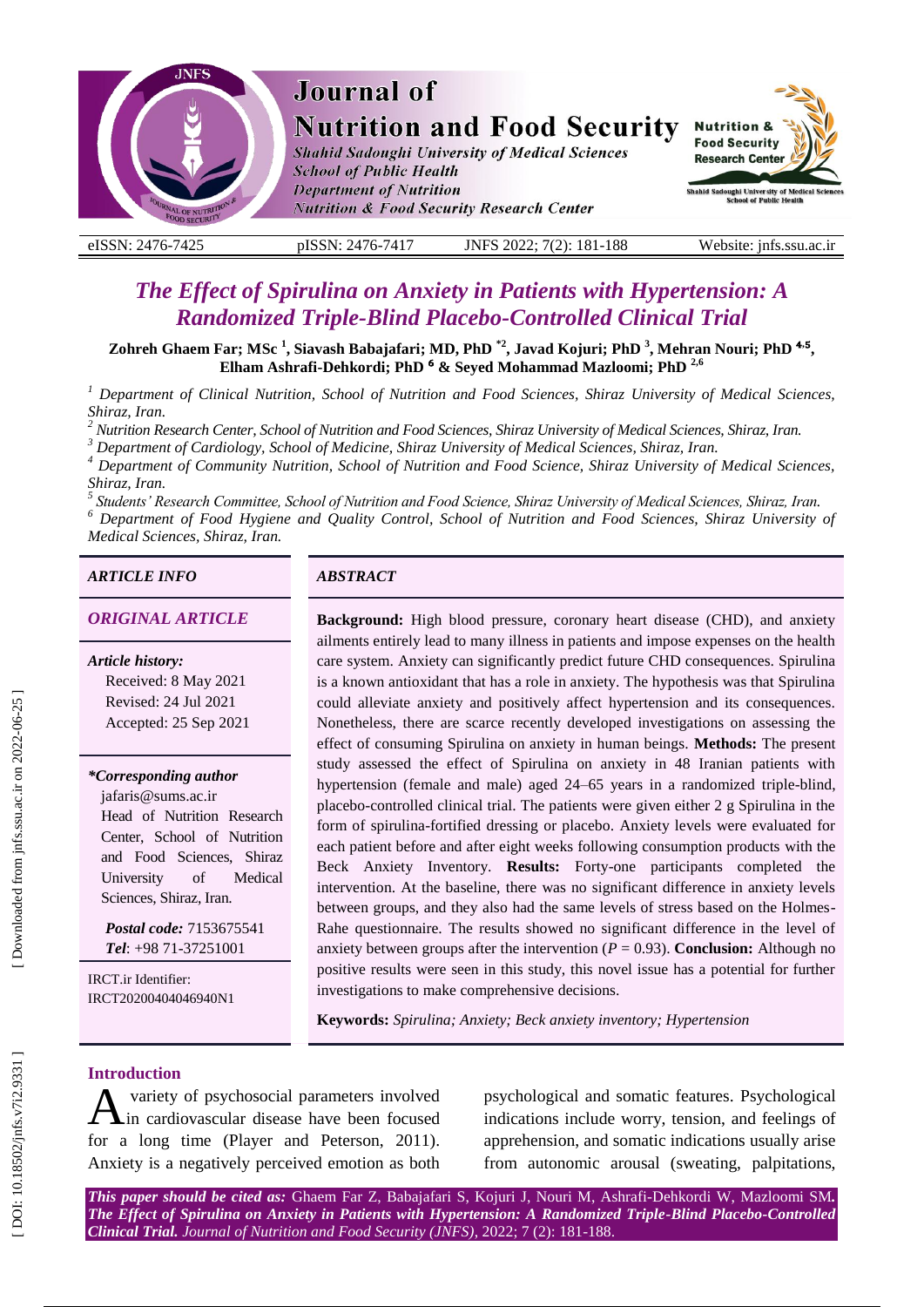

# **The Effect of Spirulina on Anxiety in Patients with Hypertension: A** *Randomized Triple -Blind Placebo -Controlled Clinical Trial*

Zohreh Ghaem Far; MSc <sup>1</sup>, Siavash Babajafari; MD, PhD <sup>\*2</sup>, Javad Kojuri; PhD <sup>3</sup>, Mehran Nouri; PhD <sup>4,5</sup>, **Elham Ashrafi -Dehkordi ; PhD** ⁶ **& Seyed Mohammad Mazloomi ; PhD 2,6**

*<sup>1</sup> Department of Clinical Nutrition, School of Nutrition and Food Sciences, Shiraz University of Medical Sciences,*  Shiraz, Iran.<br><sup>2</sup> Nutrition Research Center, School of Nutrition and Food Sciences, Shiraz University of Medical Sciences, Shiraz, Iran.<br><sup>3</sup> Department of Cardiology, School of Medicine, Shiraz University of Medical Scienc

*Shiraz, Iran. <sup>5</sup>*

*Students' Research Committee, School of Nutrition and Food Science, Shiraz University of Medical Sciences, Shiraz, Iran . 6 Department of Food Hygiene and Quality Control, School of Nutrition and Food Sciences, Shiraz University of* 

*Medical Sciences, Shiraz, Iran.*

# *ARTICLE INFO ABSTRACT*

*Article history:* Received: 8 May 2021 Revised: 24 Jul 2021 Accepted: 25 Sep 2021

*\*Corresponding author*

jafaris@sums.ac.ir Head of Nutrition Research Center, School of Nutrition and Food Sciences, Shiraz University of Medical Sciences, Shiraz, Iran .

*Postal code:* 7153675541 *Tel*: +98 71 -37251001

IRCT.ir Identifier: IRCT20200404046940N1

*ORIGINAL ARTICLE* **Background:** High blood pressure, coronary heart disease (CHD), and anxiety ailments entirely lead to many illness in patients and impose expenses on the health care system. Anxiety can significantly predict future CHD consequences. Spirulina is a known antioxidant that has a role in anxiety. The hypothesis was that Spirulina could alleviate anxiety and positively affect hypertension and its consequences. Nonetheless, there are scarce recently developed investigations on assessing the effect of consuming Spirulina on anxiety in human beings. **Methods:** The present study assessed the effect of Spirulina on anxiety in 48 Iranian patients with hypertension (female and male) aged 24 –65 years in a randomized triple -blind, placebo -controlled clinical trial. The patients were given either 2 g Spirulina in the form of spirulina -fortified dressing or placebo. Anxiety levels were evaluated for each patient before and after eight weeks following consumption products with the Beck Anxiety Inventory. **Result s :** Forty -one participants completed the intervention. At the baseline, there was no significant difference in anxiety levels between groups, and they also had the same levels of stress based on the Holmes - Rahe questionnaire. The results showed no significant difference in the level of anxiety between groups after the intervention  $(P = 0.93)$ . **Conclusion:** Although no positive results were seen in this study, this novel issue has a potential for further investigations to make comprehensive decisions.

**Keywords:** *Spirulina; Anxiety; Beck anxiety inventory; Hypertension*

#### **Introduction**

variety of psychosocial parameters involved in cardiovascular disease have been focused for a long time (Player and Peterson, 2011). Anxiety is a negatively perceived emotion as both A

psychological and somatic features. Psychological indications include worry, tension, and feelings of apprehension, and somatic indications usually arise from autonomic arousal (sweating, palpitations,

*This paper should be cited as:* Ghaem Far Z, Babajafari S, Kojuri J, Nouri M, Ashrafi -Dehkordi W, Mazloomi SM *. The Effect of Spirulina on Anxiety in Patients with Hypertension: A Randomized Triple -Blind Placebo -Controlled Clinical Trial. Journal of Nutrition and Food Security (JNFS)*, 2022; 7 (2): 181 -188 .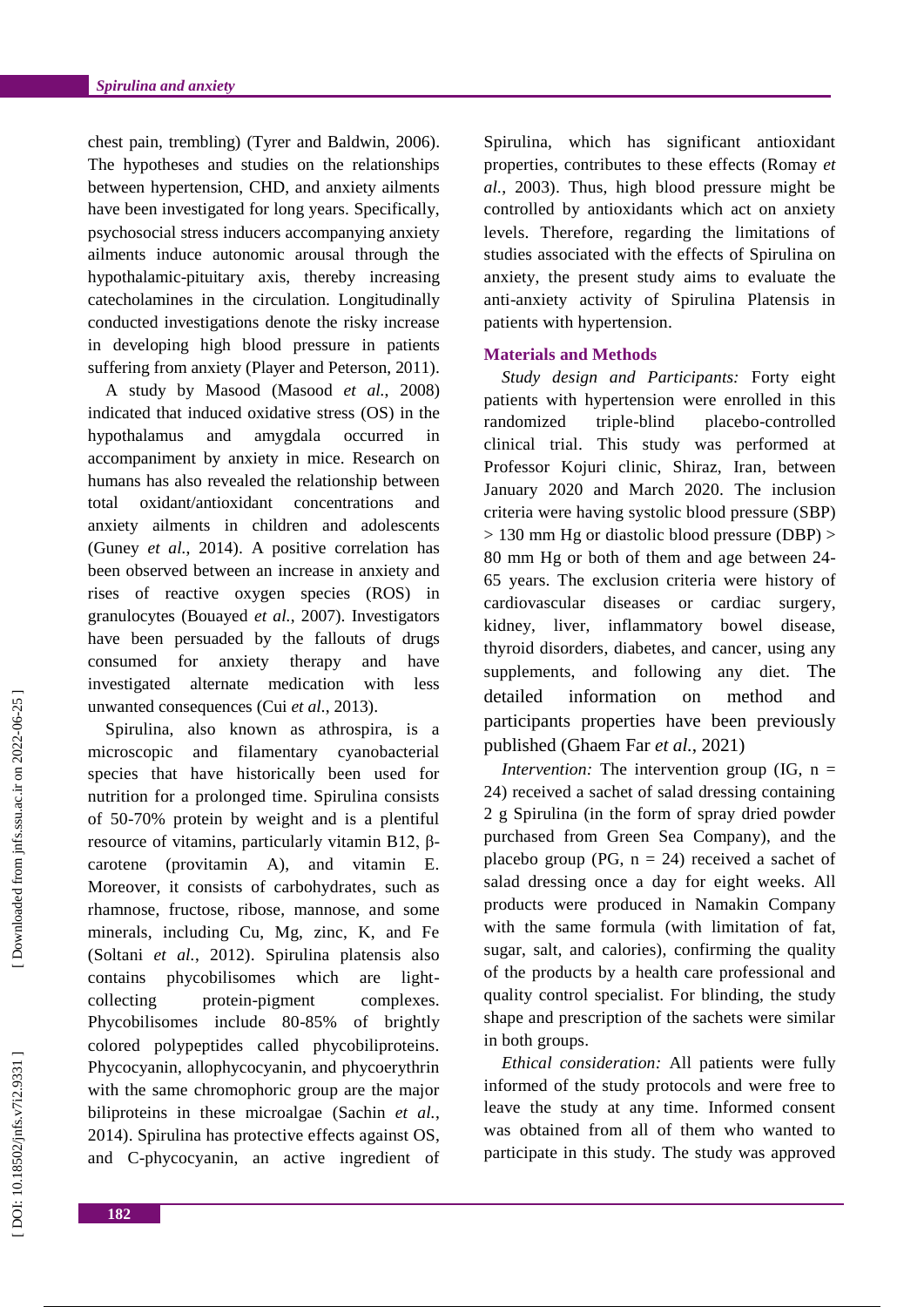chest pain, trembling) (Tyrer and Baldwin, 2006). The hypotheses and studies on the relationships between hypertension, CHD, and anxiety ailments have been investigated for long years. Specifically, psychosocial stress inducers accompanying anxiety ailments induce autonomic arousal through the hypothalamic -pituitary axis, thereby increasing catecholamines in the circulation. Longitudinally conducted investigations denote the risky increase in developing high blood pressure in patients suffering from anxiety (Player and Peterson, 2011) .

A study by Masood (Masood *et al.*, 2008) indicated that induced oxidative stress (OS) in the hypothalamus and amygdala occurred in accompaniment by anxiety in mice. Research on humans has also revealed the relationship between total oxidant/antioxidant concentrations and anxiety ailments in children and adolescents (Guney *et al.*, 2014) . A positive correlation has been observed between an increase in anxiety and rises of reactive oxygen species (ROS) in granulocytes (Bouayed *et al.*, 2007) . Investigators have been persuaded by the fallouts of drugs consumed for anxiety therapy and have investigated alternate medication with less unwanted consequences (Cui *et al.*, 2013) .

Spirulina, also known as athrospira, is a microscopic and filamentary cyanobacterial species that have historically been used for nutrition for a prolonged time. Spirulina consists of 50 -70% protein by weight and is a plentiful resource of vitamins, particularly vitamin B12, βcarotene (provitamin A), and vitamin E. Moreover, it consists of carbohydrates , such as rhamnose, fructose, ribose, mannose, and some minerals, including Cu, Mg, zinc, K, and Fe (Soltani *et al.*, 2012) . Spirulina platensis also contains phycobilisomes which are lightcollecting protein-pigment complexes. Phycobilisomes include 80-85% of brightly colored polypeptides called phycobiliproteins. Phycocyanin, allophycocyanin, and phycoerythrin with the same chromophoric group are the major biliproteins in these microalgae (Sachin *et al.*, 2014). Spirulina has protective effects against OS , and C -phycocyanin, an active ingredient of

Spirulina, which has significant antioxidant properties , contributes to these effects (Romay *et al.*, 2003) . Thus, high blood pressure might be controlled by antioxidants which act on anxiety levels. Therefore, regarding the limitations of studies associated with the effects of Spirulina on anxiety, the present study aims to evaluate the anti -anxiety activity of Spirulina Platensis in patients with hypertension.

### **Materials and Method s**

*Study design and Participants:* Forty eight patients with hypertension were enrolled in this randomized triple-blind placebo-controlled clinical trial. This study was performed at Professor Kojuri clinic, Shiraz, Iran , between January 2020 and March 2020. The inclusion criteria were having systolic blood pressure ( SBP ) > 130 mm Hg or diastolic blood pressure (DBP ) > 80 mm Hg or both of them and age between 24 - 65 years. The exclusion criteria were history of cardiovascular diseases or cardiac surgery, kidney, liver, inflammatory bowel disease, thyroid disorders , diabetes , and cancer , using any supplements , and following any diet. The detailed information on method and participants properties have been previously published (Ghaem Far *et al.*, 2021)

*Intervention:* The intervention group (IG, n = 24) received a sachet of salad dressing containing 2 g Spirulina (in the form of spray dried powder purchased from Green Sea Company ) , and the placebo group (PG,  $n = 24$ ) received a sachet of salad dressing once a day for eight weeks. All product s were produced in Namakin Company with the same formula (with limitation of fat, sugar, salt, and calories), confirming the quality of the products by a health care professional and quality control specialist. For blinding , the study shape and prescription of the sachets were similar in both groups.

*Ethical consideration:* All patients were fully informed of the study protocols and were free to leave the study at any time. Informed consent was obtained from all of them who wanted to participate in this study. The study was approved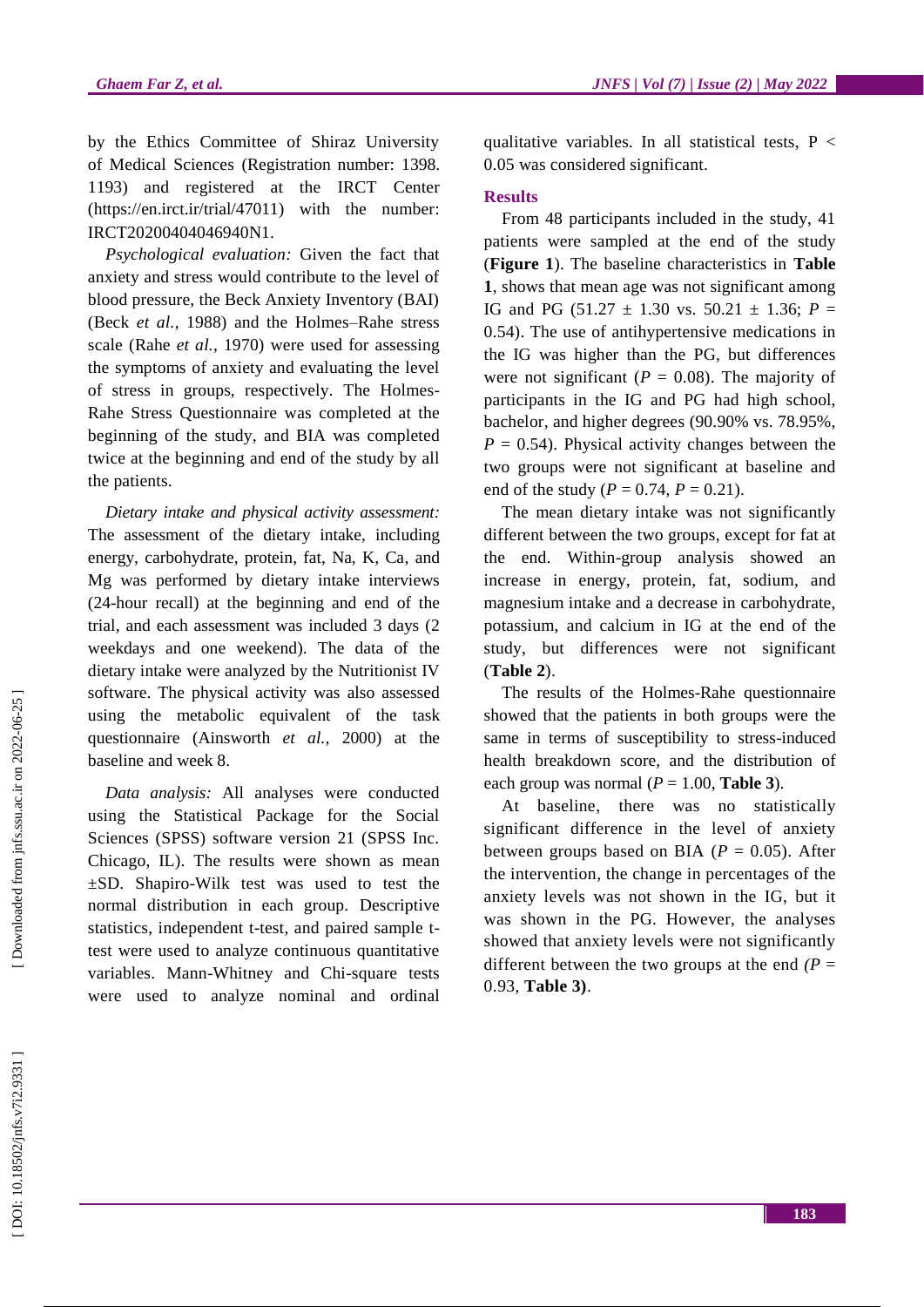by the Ethics Committee of Shiraz University of Medical Sciences (Registration number: 1398. 1193) and registered at the IRCT Center (https://en.irct.ir/trial/47011) with the number: IRCT20200404046940N1.

*Psychological evaluation :* Given the fact that anxiety and stress would contribute to the level of blood pressure, the Beck Anxiety Inventory (BAI) (Beck *et al.*, 1988) and the Holmes-Rahe stress scale (Rahe *et al.*, 1970) were used for assessing the symptoms of anxiety and evaluating the level of stress in groups, respectively. The Holmes - Rahe Stress Questionnaire was completed at the beginning of the study , and BIA was completed twice at the beginning and end of the study by all the patients.

*Dietary intake and physical activity assessment :* The assessment of the dietary intake , including energy, carbohydrate, protein, fat, Na, K, Ca , and Mg was performed by dietary intake interviews (24 -hour recall) at the beginning and end of the trial , and each assessment was included 3 days (2 weekdays and one weekend). The data of the dietary intake were analyzed by the Nutritionist IV software. The p hysical activity was also assessed using the metabolic equivalent of the task questionnaire (Ainsworth *et al.*, 2000) at the baseline and week 8.

*Data analysis :* All analyses were conducted using the Statistical Package for the Social Sciences (SPSS) software version 21 (SPSS Inc. Chicago, IL). The results were show n as mean ±S D. Shapiro -Wilk test was used to test the normal distribution in each group. Descriptive statistics, independent t-test, and paired sample ttest were used to analyze continuous quantitative variables. Mann -Whitney and Chi -square tests were used to analyze nominal and ordinal

qualitative variables. In all statistical tests,  $P <$ 0.05 was considered significant.

# **Result s**

From 48 participants included in the study, 41 patients were sampled at the end of the study (**Figure 1**). The baseline characteristics in **Table 1**, shows that mean age was not significant among IG and PG  $(51.27 \pm 1.30 \text{ vs. } 50.21 \pm 1.36; P =$ 0.54). The use of antihypertensive medications in the IG was higher than the PG, but differences were not significant ( $P = 0.08$ ). The majority of participants in the IG and PG had high school, bachelor , and higher degree s (90.90% vs. 78.95%,  $P = 0.54$ . Physical activity changes between the two groups were not significant at baseline and end of the study ( $P = 0.74$ ,  $P = 0.21$ ).

The mean dietary intake was not significantly differen t between the two groups, except for fat at the end. Within -group analysis showed an increase in energy, protein, fat, sodium , and magnesium intake and a decrease in carbohydrate, potassium , and calcium in IG at the end of the study, but differences were not significant (**Table 2**).

The results of the Holmes -Rahe questionnaire showed that the patients in both groups were the same in terms of susceptibility to stress -induced health breakdown score, and the distribution of each group was normal  $(P = 1.00, \text{Table 3}).$ 

At baseline , there was no statistical l y significant difference in the level of anxiety between groups based on BIA  $(P = 0.05)$ . After the intervention , the change in percentages of the anxiety levels was not shown in the IG , but it was shown in the PG . However , the analyses showed that anxiety levels were not significantly different between the two groups at the end  $(P =$ 0.93, **Table 3)** .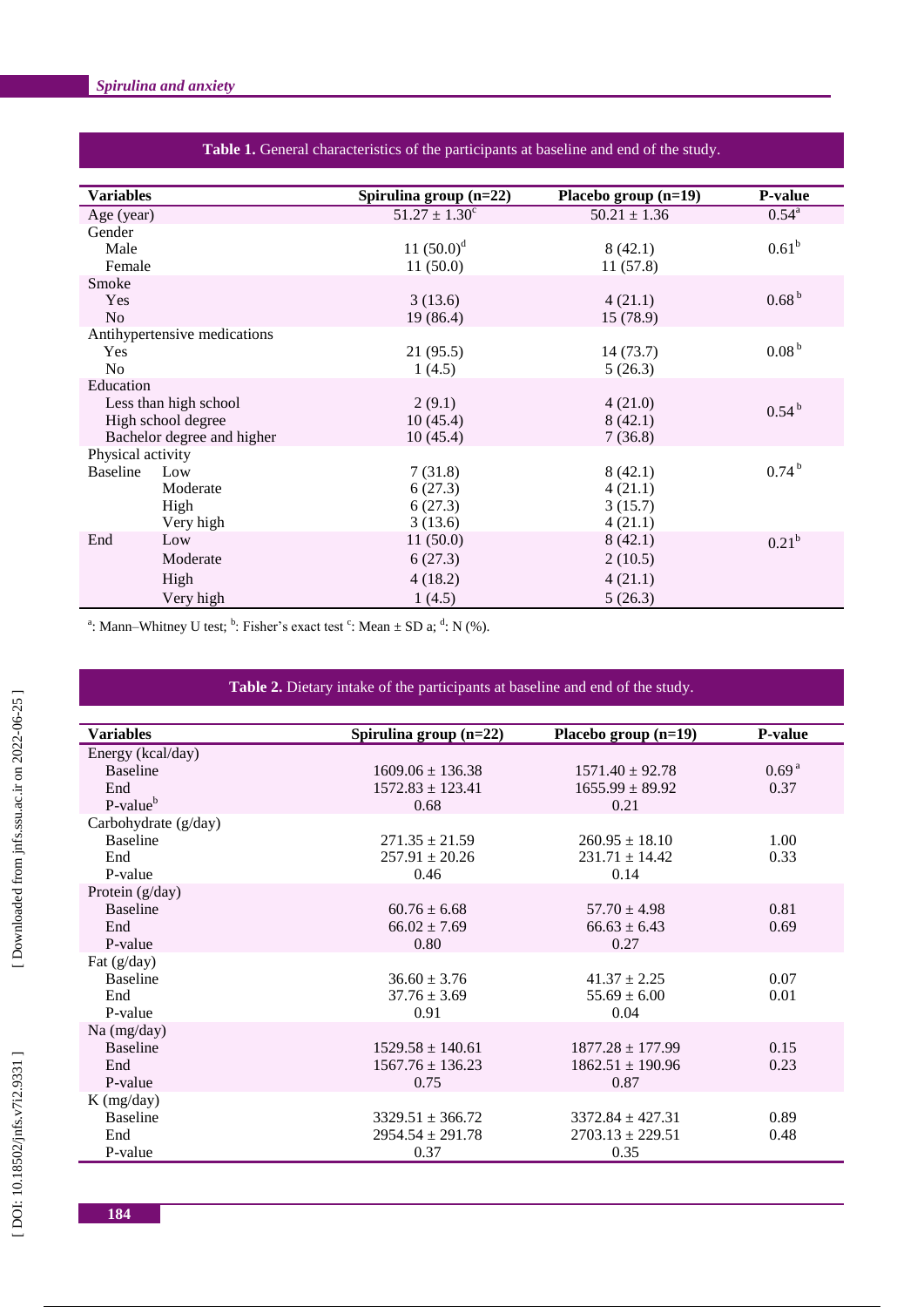| <b>Variables</b>           |                              | Spirulina group (n=22)   | Placebo group (n=19) | <b>P-value</b>    |
|----------------------------|------------------------------|--------------------------|----------------------|-------------------|
| Age (year)                 |                              | $51.27 \pm 1.30^{\circ}$ | $50.21 \pm 1.36$     | $0.54^{\rm a}$    |
| Gender                     |                              |                          |                      |                   |
| Male                       |                              | 11 $(50.0)^d$            | 8(42.1)              | $0.61^{\rm b}$    |
| Female                     |                              | 11(50.0)                 | 11(57.8)             |                   |
| Smoke                      |                              |                          |                      |                   |
| Yes                        |                              | 3(13.6)                  | 4(21.1)              | 0.68 <sup>b</sup> |
| N <sub>o</sub>             |                              | 19 (86.4)                | 15 (78.9)            |                   |
|                            | Antihypertensive medications |                          |                      |                   |
| Yes                        |                              | 21(95.5)                 | 14(73.7)             | 0.08 <sup>b</sup> |
| N <sub>o</sub>             |                              | 1(4.5)                   | 5(26.3)              |                   |
| Education                  |                              |                          |                      |                   |
| Less than high school      |                              | 2(9.1)                   | 4(21.0)              | $0.54^{b}$        |
| High school degree         |                              | 10(45.4)                 | 8(42.1)              |                   |
| Bachelor degree and higher |                              | 10(45.4)                 | 7(36.8)              |                   |
| Physical activity          |                              |                          |                      |                   |
| <b>Baseline</b>            | Low                          | 7(31.8)                  | 8(42.1)              | 0.74 <sup>b</sup> |
|                            | Moderate                     | 6(27.3)                  | 4(21.1)              |                   |
|                            | High                         | 6(27.3)                  | 3(15.7)              |                   |
|                            | Very high                    | 3(13.6)                  | 4(21.1)              |                   |
| End                        | Low                          | 11(50.0)                 | 8(42.1)              | $0.21^{b}$        |
|                            | Moderate                     | 6(27.3)                  | 2(10.5)              |                   |
|                            | High                         | 4(18.2)                  | 4(21.1)              |                   |
|                            | Very high                    | 1(4.5)                   | 5(26.3)              |                   |

#### **Table 1.** General characteristics of the participants at baseline and end of the study .

<sup>a</sup>: Mann–Whitney U test; <sup>b</sup>: Fisher's exact test <sup>c</sup>: Mean  $\pm$  SD a; <sup>d</sup>: N (%).

#### **Table 2.** Dietary intake of the participants at baseline and end of the study .

| <b>Variables</b>     | Spirulina group $(n=22)$ | Placebo group (n=19) | <b>P-value</b>    |
|----------------------|--------------------------|----------------------|-------------------|
| Energy (kcal/day)    |                          |                      |                   |
| <b>Baseline</b>      | $1609.06 \pm 136.38$     | $1571.40 \pm 92.78$  | 0.69 <sup>a</sup> |
| End                  | $1572.83 \pm 123.41$     | $1655.99 \pm 89.92$  | 0.37              |
| $P-valueb$           | 0.68                     | 0.21                 |                   |
| Carbohydrate (g/day) |                          |                      |                   |
| <b>Baseline</b>      | $271.35 \pm 21.59$       | $260.95 \pm 18.10$   | 1.00              |
| End                  | $257.91 \pm 20.26$       | $231.71 \pm 14.42$   | 0.33              |
| P-value              | 0.46                     | 0.14                 |                   |
| Protein (g/day)      |                          |                      |                   |
| <b>Baseline</b>      | $60.76 \pm 6.68$         | $57.70 \pm 4.98$     | 0.81              |
| End                  | $66.02 \pm 7.69$         | $66.63 \pm 6.43$     | 0.69              |
| P-value              | 0.80                     | 0.27                 |                   |
| Fat $(g/day)$        |                          |                      |                   |
| <b>Baseline</b>      | $36.60 \pm 3.76$         | $41.37 \pm 2.25$     | 0.07              |
| End                  | $37.76 \pm 3.69$         | $55.69 \pm 6.00$     | 0.01              |
| P-value              | 0.91                     | 0.04                 |                   |
| Na (mg/day)          |                          |                      |                   |
| <b>Baseline</b>      | $1529.58 \pm 140.61$     | $1877.28 \pm 177.99$ | 0.15              |
| End                  | $1567.76 \pm 136.23$     | $1862.51 \pm 190.96$ | 0.23              |
| P-value              | 0.75                     | 0.87                 |                   |
| $K$ (mg/day)         |                          |                      |                   |
| <b>Baseline</b>      | $3329.51 \pm 366.72$     | $3372.84 \pm 427.31$ | 0.89              |
| End                  | $2954.54 \pm 291.78$     | $2703.13 \pm 229.51$ | 0.48              |
| P-value              | 0.37                     | 0.35                 |                   |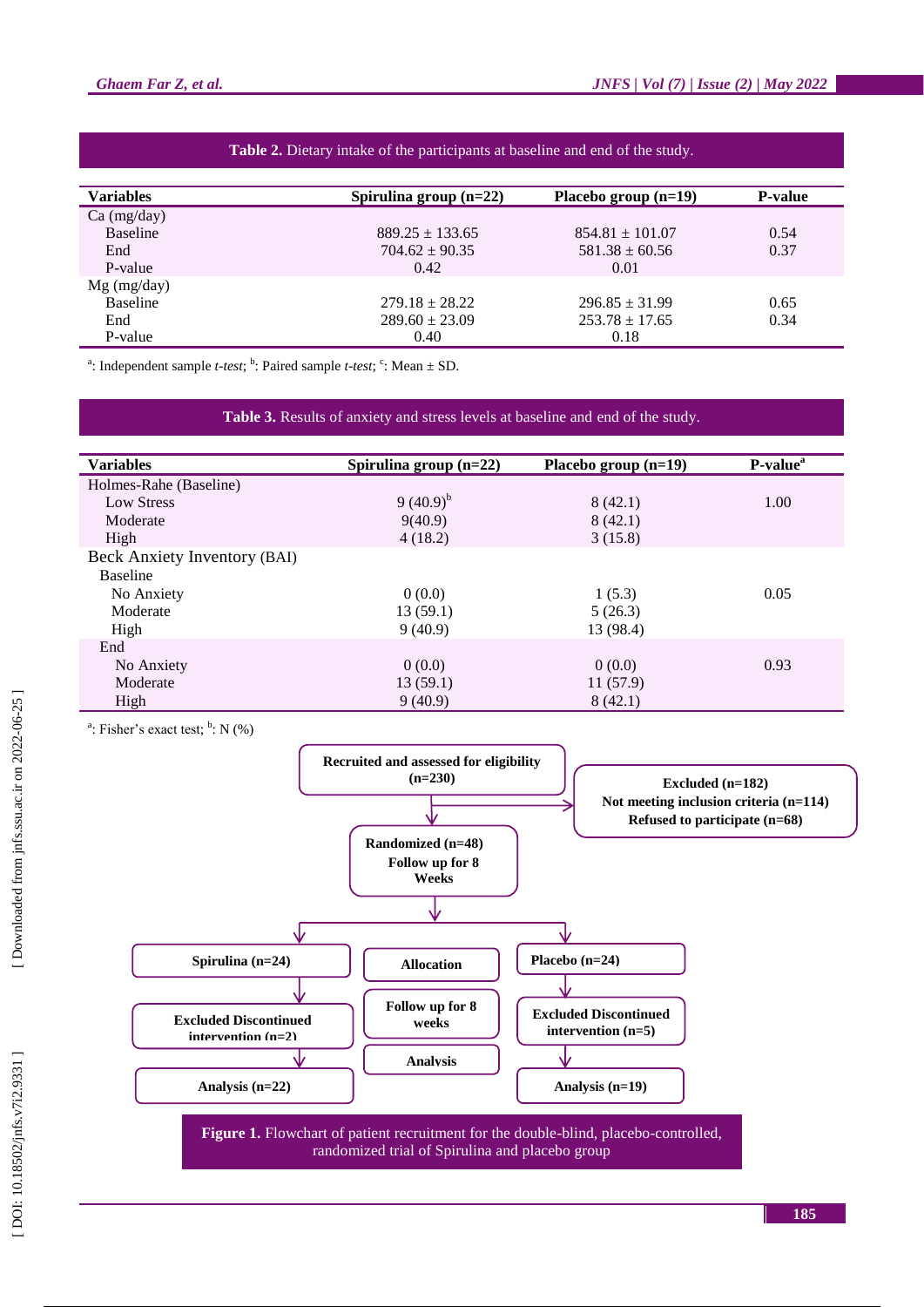| <b>Variables</b> | Spirulina group $(n=22)$ | Placebo group $(n=19)$ | <b>P-value</b> |
|------------------|--------------------------|------------------------|----------------|
| $Ca$ (mg/day)    |                          |                        |                |
| <b>Baseline</b>  | $889.25 \pm 133.65$      | $854.81 \pm 101.07$    | 0.54           |
| End              | $704.62 \pm 90.35$       | $581.38 \pm 60.56$     | 0.37           |
| P-value          | 0.42                     | 0.01                   |                |
| $Mg$ (mg/day)    |                          |                        |                |
| <b>Baseline</b>  | $279.18 \pm 28.22$       | $296.85 \pm 31.99$     | 0.65           |
| End              | $289.60 \pm 23.09$       | $253.78 \pm 17.65$     | 0.34           |
| P-value          | 0.40                     | 0.18                   |                |

### **Table 2.** Dietary intake of the participants at baseline and end of the study .

<sup>a</sup>: Independent sample *t*-test; <sup>b</sup>: Paired sample *t*-test; <sup>c</sup>: Mean  $\pm$  SD.

**Table 3.** Results of anxiety and stress levels at baseline and end of the study .

| <b>Variables</b>             | Spirulina group $(n=22)$ | Placebo group $(n=19)$ | P-value <sup>a</sup> |
|------------------------------|--------------------------|------------------------|----------------------|
| Holmes-Rahe (Baseline)       |                          |                        |                      |
|                              |                          |                        |                      |
| <b>Low Stress</b>            | 9 $(40.9)^{b}$           | 8(42.1)                | 1.00                 |
| Moderate                     | 9(40.9)                  | 8(42.1)                |                      |
| High                         | 4(18.2)                  | 3(15.8)                |                      |
| Beck Anxiety Inventory (BAI) |                          |                        |                      |
| <b>Baseline</b>              |                          |                        |                      |
| No Anxiety                   | 0(0.0)                   | 1(5.3)                 | 0.05                 |
| Moderate                     | 13(59.1)                 | 5(26.3)                |                      |
| High                         | 9(40.9)                  | 13 (98.4)              |                      |
| End                          |                          |                        |                      |
| No Anxiety                   | 0(0.0)                   | 0(0.0)                 | 0.93                 |
| Moderate                     | 13(59.1)                 | 11(57.9)               |                      |
| High                         | 9(40.9)                  | 8(42.1)                |                      |

<sup>a</sup>: Fisher's exact test;  $\overset{b}{\cdot}$ : N (%)



[Downloaded from jnfs.ssu.ac.ir on 2022-06-25]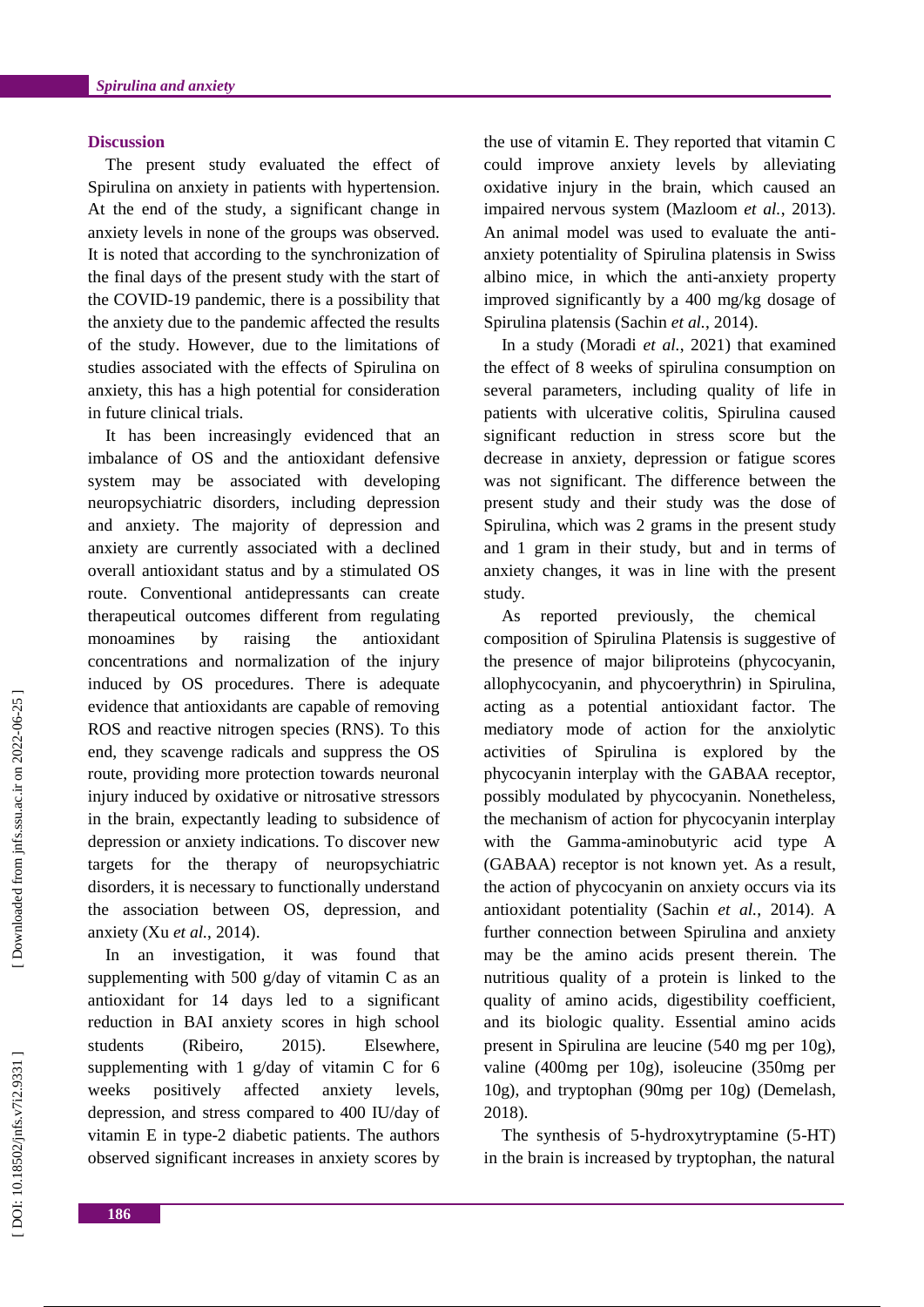#### **Discussion**

The present study evaluated the effect of Spirulina on anxiety in patients with hypertension. At the end of the study, a significant change in anxiety levels in none of the groups was observed. It is noted that according to the synchronization of the final days of the present study with the start of the COVID -19 pandemic, there is a possibility that the anxiety due to the pandemic affected the results of the study. However, due to the limitations of studies associated with the effects of Spirulina on anxiety, this has a high potential for consideration in future clinical trials.

It has been increasingly evidenced that an imbalance of OS and the antioxidant defensive system may be associated with developing neuropsychiatric disorders, including depression and anxiety. The majority of depression and anxiety are currently associated with a declined overall antioxidant status and by a stimulated OS route. Conventional antidepressants can create therapeutical outcomes different from regulating monoamines by raising the antioxidant concentrations and normalization of the injury induced by OS procedures. There is adequate evidence that antioxidants are capable of removing ROS and reactive nitrogen species (RNS). To this end, they scavenge radicals and suppress the OS route, providing more protection towards neuronal injury induced by oxidative or nitrosative stressors in the brain, expectantly leading to subsidence of depression or anxiety indications. To discover new targets for the therapy of neuropsychiatric disorders, i t is necessary to functionally understand the association between OS, depression, and anxiety (Xu *et al.*, 2014) .

In an investigation, it was found that supplementing with 500 g/day of vitamin C as an antioxidant for 14 days led to a significant reduction in BAI anxiety scores in high school students (Ribeiro, 2015). . Elsewhere, supplementing with 1 g/day of vitamin C for 6 weeks positively affected anxiety levels, depression, and stress compared to 400 IU/day of vitamin E in type -2 diabetic patients. The authors observed significant increases in anxiety scores by

the use of vitamin E. They reported that vitamin C could improve anxiety levels by alleviating oxidative injury in the brain, which caused an impaired nervous system (Mazloom *et al.*, 2013) . An animal model was used to evaluate the anti anxiety potentiality of Spirulina platensis in Swiss albino mice, in which the anti -anxiety property improved significantly by a 400 mg/kg dosage of Spirulina platensis (Sachin *et al.*, 2014) .

In a study (Moradi *et al.*, 2021) that examined the effect of 8 weeks of spirulina consumption on several parameters , including quality of life in patients with ulcerative colitis, Spirulina caused significant reduction in stress score but the decrease in anxiety, depression or fatigue scores was not significant. The difference between the present study and their study was the dose of Spirulina, which was 2 grams in the present study and 1 gram in their study , but and in terms of anxiety changes, it was in line with the present study.

As reported previously, the chemical composition of Spirulina Platensis is suggestive of the presence of major biliproteins (phycocyanin, allophycocyanin, and phycoerythrin) in Spirulina, acting as a potential antioxidant factor. The mediatory mode of action for the anxiolytic activities of Spirulina is explored by the phycocyanin interplay with the GABAA receptor, possibly modulated by phycocyanin. Nonetheless, the mechanism of action for phycocyanin interplay with the Gamma -aminobutyric acid type A (GABAA ) receptor is not known yet. As a result, the action of phycocyanin on anxiety occurs via its antioxidant potentiality (Sachin *et al.*, 2014) . A further connection between Spirulina and anxiety may be the amino acids present therein. The nutritious quality of a protein is linked to the quality of amino acids, digestibility coefficient, and its biologic quality. Essential amino acids present in Spirulina are leucine (540 mg per 10 g), valine (400mg per 10g), isoleucine (350mg per 10g), and tryptophan (90mg per 10g) (Demelash, 2018) .

The synthesis of 5-hydroxytryptamine (5-HT) in the brain is increased by tryptophan, the natural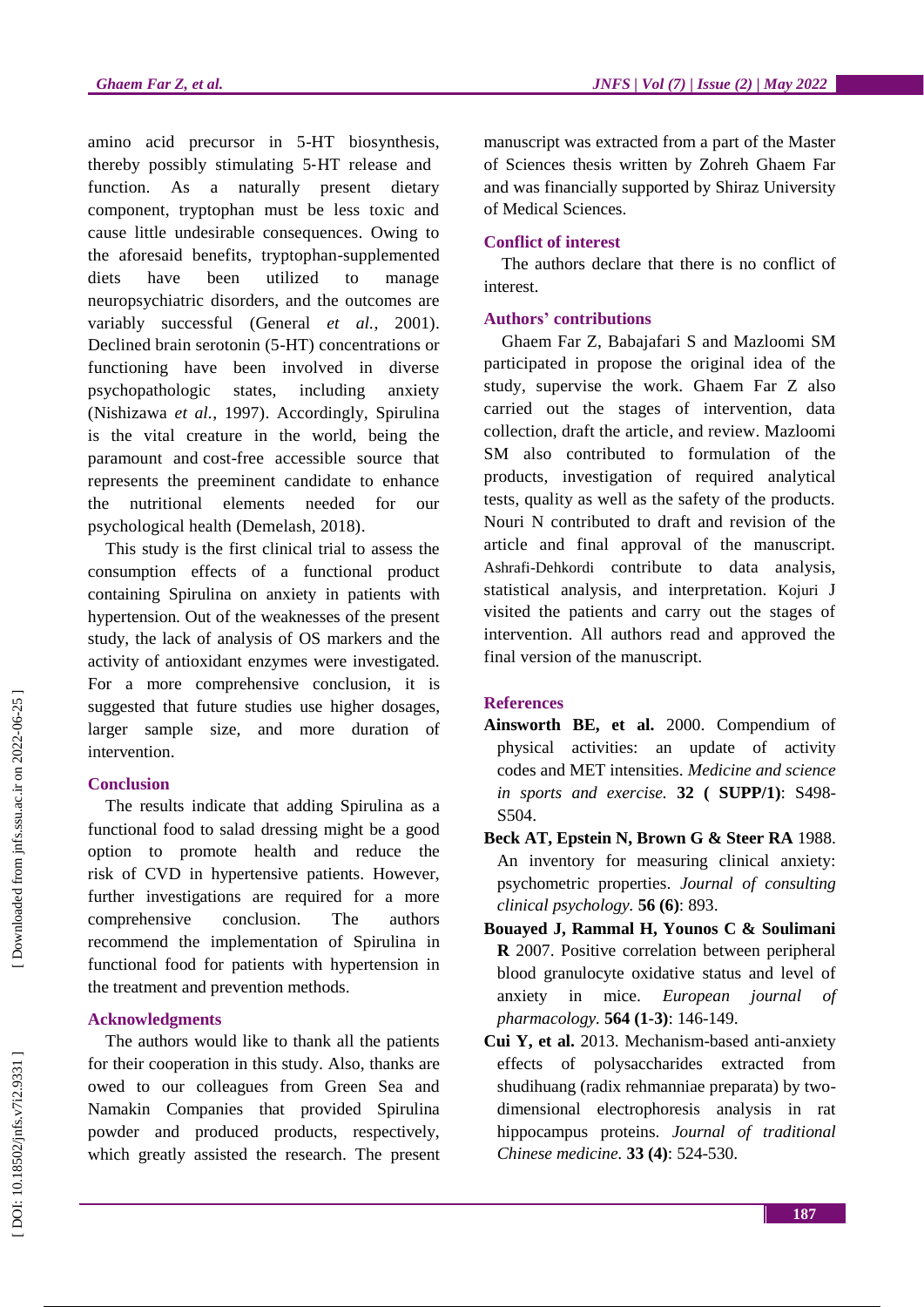amino acid precursor in 5 -HT biosynthesis, thereby possibly stimulating 5 ‐HT releas e and function. As a naturally present dietary component, tryptophan must be less toxic and cause little undesirable consequences. Owing to the aforesaid benefits, tryptophan -supplemented diets have been utilized to manage neuropsychiatric disorders , and the outcomes are variably successful (General *et al.*, 2001) . Declined brain serotonin (5 -HT) concentrations or functioning have been involved in diverse psychopathologic states, including anxiety (Nishizawa *et al.*, 1997) . Accordingly, Spirulina is the vital creature in the world , being the paramount and cost -free accessible source that represents the preeminent candidate to enhance the nutritional elements needed for our psychological health (Demelash, 2018) .

This study is the first clinical trial to assess the consumption effects of a functional product containing Spirulina on anxiety in patients with hypertension. Out of the weaknesses of the present study, the lack of analysis of OS markers and the activity of antioxidant enzymes were investigated. For a more comprehensive conclusion, it is suggested that future studies use higher dosages, larger sample size , and more duration of intervention .

# **Conclusion**

The results indicate that adding Spirulina as a functional food to salad dressing might be a good option to promote health and reduce the risk of CVD in hypertensive patients. However, further investigations are required for a more comprehensive conclusion The authors recommend the implementation of Spirulina in functional food for patients with hypertension in the treatment and prevention methods.

# **Acknowledgments**

The authors would like to thank all the patients for their cooperation in this study. Also , thank s are owed to our colleagues from Green Sea and Namakin Companies that provided Spirulina powder and produced products , respectively, which greatly assisted the research. The present

manuscript was extracted from a part of the Master of Sciences thesis written by Zohreh Ghaem Far and was financially supported by Shiraz University of Medical Sciences.

# **Conflict of interest**

The authors declare that there is no conflict of interest.

# **Authors' contributions**

Ghaem Far Z, Babajafari S and Mazloomi SM participated in propose the original idea of the study, supervise the work. Ghaem Far Z also carried out the stages of intervention, data collection, draft the article , and review. Mazloomi SM also contributed to formulation of the products, investigation of required analytical tests, quality as well as the safety of the products. Nouri N contributed to draft and revision of the article and final approval of the manuscript. Ashrafi -Dehkordi contribute to data analysis, statistical analysis , and interpretation. Kojuri J visited the patients and carry out the stages of intervention. All authors read and approved the final version of the manuscript.

# **References**

- **Ainsworth BE, et al.** 2000. Compendium of physical activities: an update of activity codes and MET intensities. *Medicine and science in sports and exercise.* **32 ( SUPP/1)**: S498 - S<sub>504</sub>.
- **Beck AT, Epstein N, Brown G & Steer RA** 1988. An inventory for measuring clinical anxiety: psychometric properties. *Journal of consulting clinical psychology.* **56 (6)**: 893.
- **Bouayed J, Rammal H, Younos C & Soulimani R** 2007. Positive correlation between peripheral blood granulocyte oxidative status and level of anxiety in mice. *European journal of pharmacology.* **564 (1 -3)**: 146 -149.
- **Cui Y, et al.** 2013. Mechanism -based anti -anxiety effects of polysaccharides extracted from shudihuang (radix rehmanniae preparata) by two dimensional electrophoresis analysis in rat hippocampus proteins. *Journal of traditional Chinese medicine.* **33 (4)**: 524 -530.